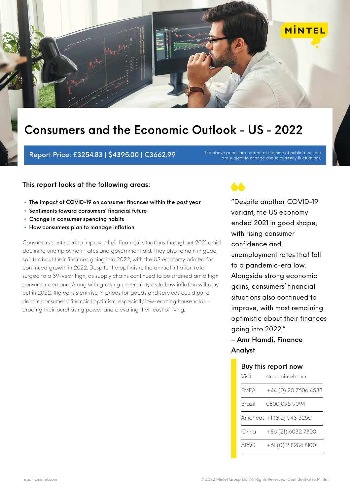

Report Price:  $£3254.83 | $4395.00 | €3662.99$  The above prices are correct at the time of publication, but

are subject to change due to currency fluctuations.

### **This report looks at the following areas:**

- The impact of COVID-19 on consumer finances within the past year
- Sentiments toward consumers' financial future
- Change in consumer spending habits
- How consumers plan to manage inflation

Consumers continued to improve their financial situations throughout 2021 amid declining unemployment rates and government aid. They also remain in good spirits about their finances going into 2022, with the US economy primed for continued growth in 2022. Despite the optimism, the annual inflation rate surged to a 39-year high, as supply chains continued to be strained amid high consumer demand. Along with growing uncertainty as to how inflation will play out in 2022, the consistent rise in prices for goods and services could put a dent in consumers' financial optimism, especially low-earning households – eroding their purchasing power and elevating their cost of living.

66

"Despite another COVID-19 variant, the US economy ended 2021 in good shape, with rising consumer confidence and unemployment rates that fell to a pandemic-era low. Alongside strong economic gains, consumers' financial situations also continued to improve, with most remaining optimistic about their finances going into 2022."

## – **Amr Hamdi, Finance Analyst**

| Buy this report now        |                        |  |
|----------------------------|------------------------|--|
| Visit                      | store mintel com       |  |
| FMFA                       | +44 (0) 20 7606 4533   |  |
| Brazil                     | 0800 095 9094          |  |
| Americas +1 (312) 943 5250 |                        |  |
| China                      | +86 (21) 6032 7300     |  |
| ДРДС                       | $+6$ $(0)$ 2 8284 8100 |  |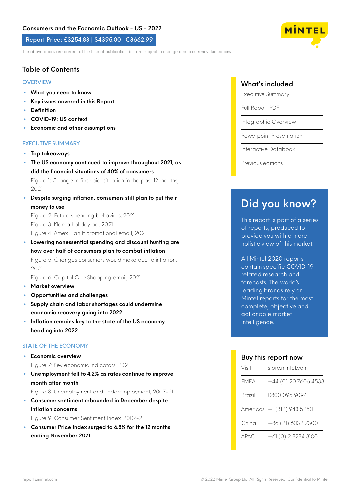Report Price: £3254.83 | \$4395.00 | €3662.99

The above prices are correct at the time of publication, but are subject to change due to currency fluctuations.

## **Table of Contents**

#### **OVERVIEW**

- **• What you need to know**
- **• Key issues covered in this Report**
- **• Definition**
- **• COVID-19: US context**
- **• Economic and other assumptions**

#### EXECUTIVE SUMMARY

- **• Top takeaways**
- **• The US economy continued to improve throughout 2021, as did the financial situations of 40% of consumers** Figure 1: Change in financial situation in the past 12 months,
- 2021 **• Despite surging inflation, consumers still plan to put their money to use**

Figure 2: Future spending behaviors, 2021 Figure 3: Klarna holiday ad, 2021 Figure 4: Amex Plan It promotional email, 2021

**• Lowering nonessential spending and discount hunting are how over half of consumers plan to combat inflation** Figure 5: Changes consumers would make due to inflation, 2021

Figure 6: Capital One Shopping email, 2021

- **• Market overview**
- **• Opportunities and challenges**
- **• Supply chain and labor shortages could undermine economic recovery going into 2022**
- **• Inflation remains key to the state of the US economy heading into 2022**

#### STATE OF THE ECONOMY

- **• Economic overview** Figure 7: Key economic indicators, 2021
- **• Unemployment fell to 4.2% as rates continue to improve month after month**
- Figure 8: Unemployment and underemployment, 2007-21
- **• Consumer sentiment rebounded in December despite inflation concerns**

Figure 9: Consumer Sentiment Index, 2007-21

**• Consumer Price Index surged to 6.8% for the 12 months ending November 2021**

### What's included

Executive Summary

Full Report PDF

Infographic Overview

Powerpoint Presentation

Interactive Databook

Previous editions

## **Did you know?**

This report is part of a series of reports, produced to provide you with a more holistic view of this market.

All Mintel 2020 reports contain specific COVID-19 related research and forecasts. The world's leading brands rely on Mintel reports for the most complete, objective and actionable market intelligence.

#### Buy this report now

| Visit  | store mintel com           |
|--------|----------------------------|
| FMFA   | +44 (0) 20 7606 4533       |
| Brazil | 0800 095 9094              |
|        | Americas +1 (312) 943 5250 |
| China  | +86 (21) 6032 7300         |
| APAC.  | $+61(0)$ 2 8284 8100       |

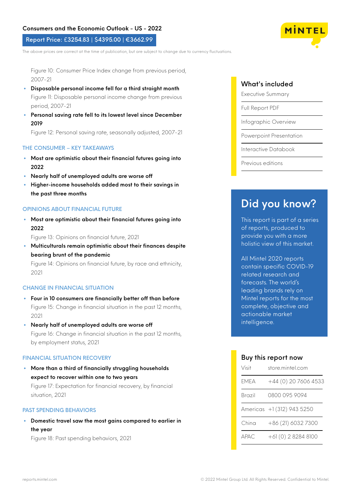#### Report Price: £3254.83 | \$4395.00 | €3662.99

The above prices are correct at the time of publication, but are subject to change due to currency fluctuations.

Figure 10: Consumer Price Index change from previous period, 2007-21

- **• Disposable personal income fell for a third straight month** Figure 11: Disposable personal income change from previous period, 2007-21
- **• Personal saving rate fell to its lowest level since December 2019**

Figure 12: Personal saving rate, seasonally adjusted, 2007-21

#### THE CONSUMER – KEY TAKEAWAYS

- **• Most are optimistic about their financial futures going into 2022**
- **• Nearly half of unemployed adults are worse off**
- **• Higher-income households added most to their savings in the past three months**

#### OPINIONS ABOUT FINANCIAL FUTURE

**• Most are optimistic about their financial futures going into 2022**

Figure 13: Opinions on financial future, 2021

**• Multiculturals remain optimistic about their finances despite bearing brunt of the pandemic**

Figure 14: Opinions on financial future, by race and ethnicity, 2021

#### CHANGE IN FINANCIAL SITUATION

- **• Four in 10 consumers are financially better off than before** Figure 15: Change in financial situation in the past 12 months,  $2021$
- **• Nearly half of unemployed adults are worse off** Figure 16: Change in financial situation in the past 12 months, by employment status, 2021

#### FINANCIAL SITUATION RECOVERY

**• More than a third of financially struggling households expect to recover within one to two years** Figure 17: Expectation for financial recovery, by financial situation, 2021

#### PAST SPENDING BEHAVIORS

**• Domestic travel saw the most gains compared to earlier in the year**

Figure 18: Past spending behaviors, 2021

## What's included

Executive Summary

Full Report PDF

Infographic Overview

Powerpoint Presentation

Interactive Databook

Previous editions

## **Did you know?**

This report is part of a series of reports, produced to provide you with a more holistic view of this market.

All Mintel 2020 reports contain specific COVID-19 related research and forecasts. The world's leading brands rely on Mintel reports for the most complete, objective and actionable market intelligence.

#### Buy this report now

| Visit                       | store mintel com           |
|-----------------------------|----------------------------|
| FMFA                        | +44 (0) 20 7606 4533       |
| Brazil                      | 0800 095 9094              |
|                             | Americas +1 (312) 943 5250 |
| China                       | +86 (21) 6032 7300         |
| $\triangle$ P $\triangle$ C | +61 (0) 2 8284 8100        |

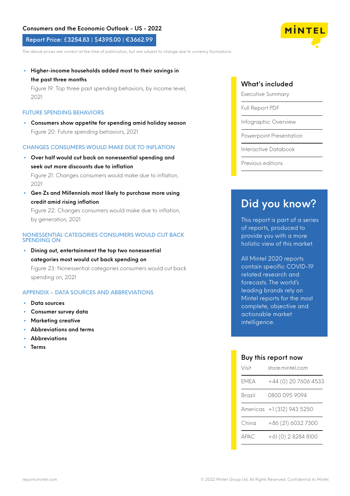#### Report Price: £3254.83 | \$4395.00 | €3662.99

The above prices are correct at the time of publication, but are subject to change due to currency fluctuations.

**• Higher-income households added most to their savings in the past three months**

Figure 19: Top three past spending behaviors, by income level, 2021

#### FUTURE SPENDING BEHAVIORS

**• Consumers show appetite for spending amid holiday season** Figure 20: Future spending behaviors, 2021

#### CHANGES CONSUMERS WOULD MAKE DUE TO INFLATION

- **• Over half would cut back on nonessential spending and seek out more discounts due to inflation** Figure 21: Changes consumers would make due to inflation, 2021
- **• Gen Zs and Millennials most likely to purchase more using credit amid rising inflation**

Figure 22: Changes consumers would make due to inflation, by generation, 2021

#### NONESSENTIAL CATEGORIES CONSUMERS WOULD CUT BACK SPENDING ON

**• Dining out, entertainment the top two nonessential categories most would cut back spending on** Figure 23: Nonessential categories consumers would cut back spending on, 2021

#### APPENDIX – DATA SOURCES AND ABBREVIATIONS

- **• Data sources**
- **• Consumer survey data**
- **• Marketing creative**
- **• Abbreviations and terms**
- **• Abbreviations**
- **• Terms**

## What's included

Executive Summary

Full Report PDF

Infographic Overview

Powerpoint Presentation

Interactive Databook

Previous editions

## **Did you know?**

This report is part of a series of reports, produced to provide you with a more holistic view of this market.

All Mintel 2020 reports contain specific COVID-19 related research and forecasts. The world's leading brands rely on Mintel reports for the most complete, objective and actionable market intelligence.

#### Buy this report now

| Visit                       | store mintel com           |
|-----------------------------|----------------------------|
| FMFA                        | +44 (0) 20 7606 4533       |
| Brazil                      | 0800 095 9094              |
|                             | Americas +1 (312) 943 5250 |
| China                       | +86 (21) 6032 7300         |
| $\triangle$ P $\triangle$ C | +61 (0) 2 8284 8100        |